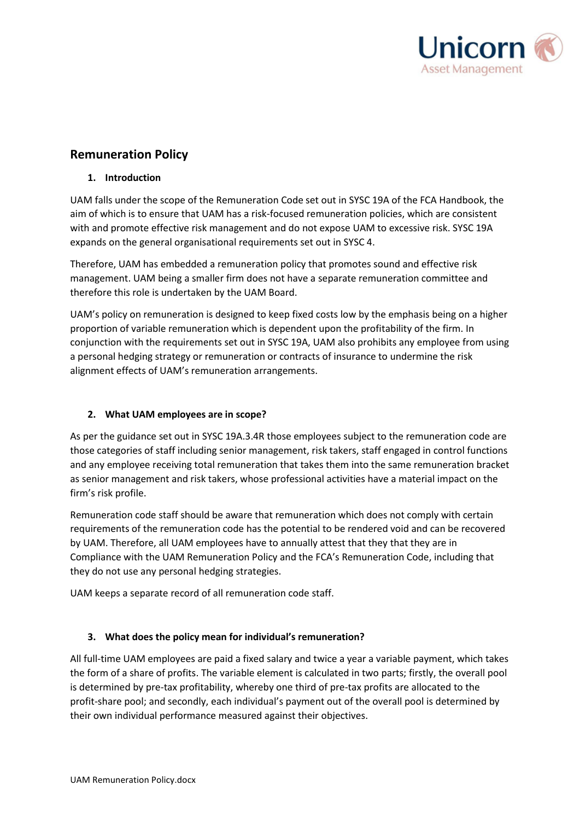

# **Remuneration Policy**

## **1. Introduction**

UAM falls under the scope of the Remuneration Code set out in SYSC 19A of the FCA Handbook, the aim of which is to ensure that UAM has a risk-focused remuneration policies, which are consistent with and promote effective risk management and do not expose UAM to excessive risk. SYSC 19A expands on the general organisational requirements set out in SYSC 4.

Therefore, UAM has embedded a remuneration policy that promotes sound and effective risk management. UAM being a smaller firm does not have a separate remuneration committee and therefore this role is undertaken by the UAM Board.

UAM's policy on remuneration is designed to keep fixed costs low by the emphasis being on a higher proportion of variable remuneration which is dependent upon the profitability of the firm. In conjunction with the requirements set out in SYSC 19A, UAM also prohibits any employee from using a personal hedging strategy or remuneration or contracts of insurance to undermine the risk alignment effects of UAM's remuneration arrangements.

## **2. What UAM employees are in scope?**

As per the guidance set out in SYSC 19A.3.4R those employees subject to the remuneration code are those categories of staff including senior management, risk takers, staff engaged in control functions and any employee receiving total remuneration that takes them into the same remuneration bracket as senior management and risk takers, whose professional activities have a material impact on the firm's risk profile.

Remuneration code staff should be aware that remuneration which does not comply with certain requirements of the remuneration code has the potential to be rendered void and can be recovered by UAM. Therefore, all UAM employees have to annually attest that they that they are in Compliance with the UAM Remuneration Policy and the FCA's Remuneration Code, including that they do not use any personal hedging strategies.

UAM keeps a separate record of all remuneration code staff.

## **3. What does the policy mean for individual's remuneration?**

All full-time UAM employees are paid a fixed salary and twice a year a variable payment, which takes the form of a share of profits. The variable element is calculated in two parts; firstly, the overall pool is determined by pre-tax profitability, whereby one third of pre-tax profits are allocated to the profit-share pool; and secondly, each individual's payment out of the overall pool is determined by their own individual performance measured against their objectives.